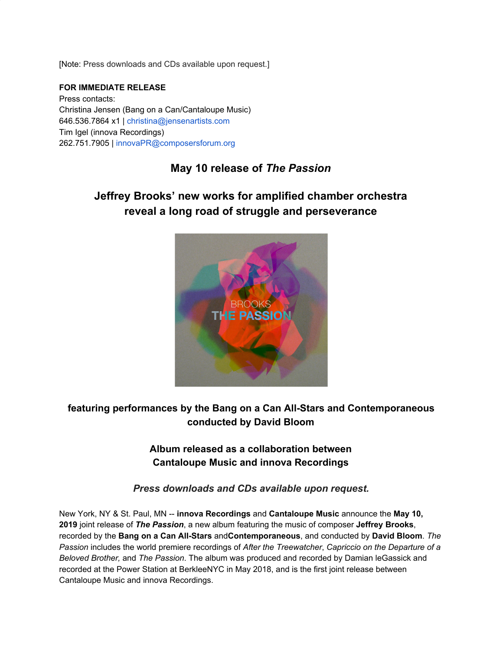[Note: Press downloads and CDs available upon request.]

#### **FOR IMMEDIATE RELEASE**

Press contacts: Christina Jensen (Bang on a Can/Cantaloupe Music) 646.536.7864 x1 | christina@jensenartists.com Tim Igel (innova Recordings) 262.751.7905 | innovaPR@composersforum.org

## **May 10 release of** *The Passion*

# **Jeffrey Brooks' new works for amplified chamber orchestra reveal a long road of struggle and perseverance**



## **featuring performances by the Bang on a Can All-Stars and Contemporaneous conducted by David Bloom**

#### **Album released as a collaboration between Cantaloupe Music and innova Recordings**

*Press downloads and CDs available upon request.*

New York, NY & St. Paul, MN -- **innova Recordings** and **Cantaloupe Music** announce the **May 10, 2019** joint release of *The Passion*, a new album featuring the music of composer **Jeffrey Brooks**, recorded by the **Bang on a Can All-Stars** and**Contemporaneous**, and conducted by **David Bloom**. *The Passion* includes the world premiere recordings of *After the Treewatcher*, *Capriccio on the Departure of a Beloved Brother,* and *The Passion*. The album was produced and recorded by Damian leGassick and recorded at the Power Station at BerkleeNYC in May 2018, and is the first joint release between Cantaloupe Music and innova Recordings.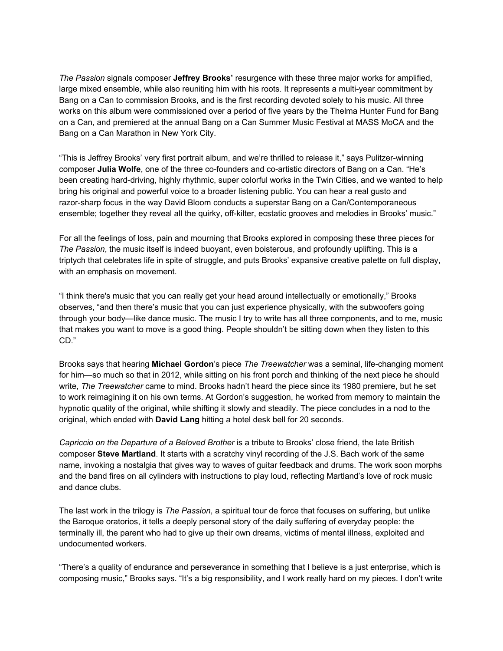*The Passion* signals composer **Jeffrey Brooks'** resurgence with these three major works for amplified, large mixed ensemble, while also reuniting him with his roots. It represents a multi-year commitment by Bang on a Can to commission Brooks, and is the first recording devoted solely to his music. All three works on this album were commissioned over a period of five years by the Thelma Hunter Fund for Bang on a Can, and premiered at the annual Bang on a Can Summer Music Festival at MASS MoCA and the Bang on a Can Marathon in New York City.

"This is Jeffrey Brooks' very first portrait album, and we're thrilled to release it," says Pulitzer-winning composer **Julia Wolfe**, one of the three co-founders and co-artistic directors of Bang on a Can. "He's been creating hard-driving, highly rhythmic, super colorful works in the Twin Cities, and we wanted to help bring his original and powerful voice to a broader listening public. You can hear a real gusto and razor-sharp focus in the way David Bloom conducts a superstar Bang on a Can/Contemporaneous ensemble; together they reveal all the quirky, off-kilter, ecstatic grooves and melodies in Brooks' music."

For all the feelings of loss, pain and mourning that Brooks explored in composing these three pieces for *The Passion*, the music itself is indeed buoyant, even boisterous, and profoundly uplifting. This is a triptych that celebrates life in spite of struggle, and puts Brooks' expansive creative palette on full display, with an emphasis on movement.

"I think there's music that you can really get your head around intellectually or emotionally," Brooks observes, "and then there's music that you can just experience physically, with the subwoofers going through your body—like dance music. The music I try to write has all three components, and to me, music that makes you want to move is a good thing. People shouldn't be sitting down when they listen to this CD."

Brooks says that hearing **Michael Gordon**'s piece *The Treewatcher* was a seminal, life-changing moment for him—so much so that in 2012, while sitting on his front porch and thinking of the next piece he should write, *The Treewatcher* came to mind. Brooks hadn't heard the piece since its 1980 premiere, but he set to work reimagining it on his own terms. At Gordon's suggestion, he worked from memory to maintain the hypnotic quality of the original, while shifting it slowly and steadily. The piece concludes in a nod to the original, which ended with **David Lang** hitting a hotel desk bell for 20 seconds.

*Capriccio on the Departure of a Beloved Brother* is a tribute to Brooks' close friend, the late British composer **Steve Martland**. It starts with a scratchy vinyl recording of the J.S. Bach work of the same name, invoking a nostalgia that gives way to waves of guitar feedback and drums. The work soon morphs and the band fires on all cylinders with instructions to play loud, reflecting Martland's love of rock music and dance clubs.

The last work in the trilogy is *The Passion*, a spiritual tour de force that focuses on suffering, but unlike the Baroque oratorios, it tells a deeply personal story of the daily suffering of everyday people: the terminally ill, the parent who had to give up their own dreams, victims of mental illness, exploited and undocumented workers.

"There's a quality of endurance and perseverance in something that I believe is a just enterprise, which is composing music," Brooks says. "It's a big responsibility, and I work really hard on my pieces. I don't write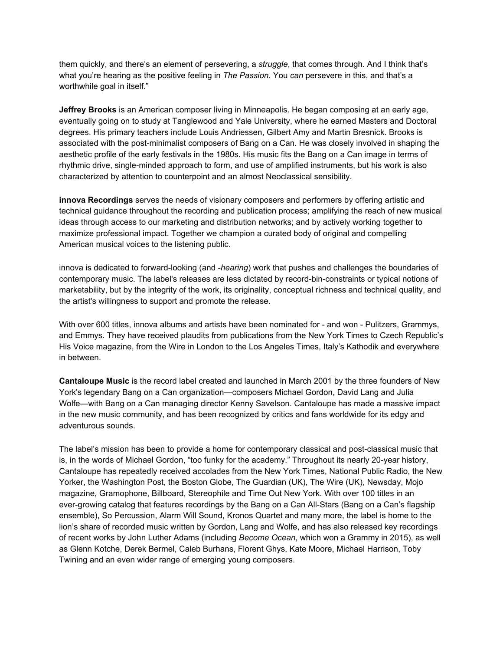them quickly, and there's an element of persevering, a *struggle*, that comes through. And I think that's what you're hearing as the positive feeling in *The Passion*. You *can* persevere in this, and that's a worthwhile goal in itself."

**Jeffrey Brooks** is an American composer living in Minneapolis. He began composing at an early age, eventually going on to study at Tanglewood and Yale University, where he earned Masters and Doctoral degrees. His primary teachers include Louis Andriessen, Gilbert Amy and Martin Bresnick. Brooks is associated with the post-minimalist composers of Bang on a Can. He was closely involved in shaping the aesthetic profile of the early festivals in the 1980s. His music fits the Bang on a Can image in terms of rhythmic drive, single-minded approach to form, and use of amplified instruments, but his work is also characterized by attention to counterpoint and an almost Neoclassical sensibility.

**innova Recordings** serves the needs of visionary composers and performers by offering artistic and technical guidance throughout the recording and publication process; amplifying the reach of new musical ideas through access to our marketing and distribution networks; and by actively working together to maximize professional impact. Together we champion a curated body of original and compelling American musical voices to the listening public.

innova is dedicated to forward-looking (and -*hearing*) work that pushes and challenges the boundaries of contemporary music. The label's releases are less dictated by record-bin-constraints or typical notions of marketability, but by the integrity of the work, its originality, conceptual richness and technical quality, and the artist's willingness to support and promote the release.

With over 600 titles, innova albums and artists have been nominated for - and won - Pulitzers, Grammys, and Emmys. They have received plaudits from publications from the New York Times to Czech Republic's His Voice magazine, from the Wire in London to the Los Angeles Times, Italy's Kathodik and everywhere in between.

**Cantaloupe Music** is the record label created and launched in March 2001 by the three founders of New York's legendary Bang on a Can organization—composers Michael Gordon, David Lang and Julia Wolfe—with Bang on a Can managing director Kenny Savelson. Cantaloupe has made a massive impact in the new music community, and has been recognized by critics and fans worldwide for its edgy and adventurous sounds.

The label's mission has been to provide a home for contemporary classical and post-classical music that is, in the words of Michael Gordon, "too funky for the academy." Throughout its nearly 20-year history, Cantaloupe has repeatedly received accolades from the New York Times, National Public Radio, the New Yorker, the Washington Post, the Boston Globe, The Guardian (UK), The Wire (UK), Newsday, Mojo magazine, Gramophone, Billboard, Stereophile and Time Out New York. With over 100 titles in an ever-growing catalog that features recordings by the Bang on a Can All-Stars (Bang on a Can's flagship ensemble), So Percussion, Alarm Will Sound, Kronos Quartet and many more, the label is home to the lion's share of recorded music written by Gordon, Lang and Wolfe, and has also released key recordings of recent works by John Luther Adams (including *Become Ocean*, which won a Grammy in 2015), as well as Glenn Kotche, Derek Bermel, Caleb Burhans, Florent Ghys, Kate Moore, Michael Harrison, Toby Twining and an even wider range of emerging young composers.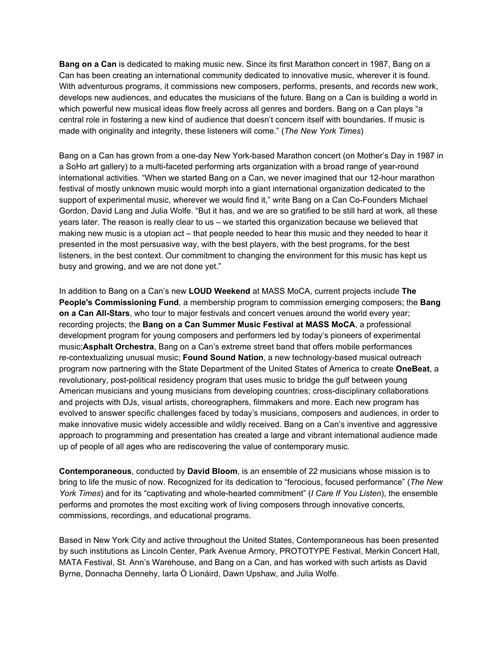**Bang on a Can** is dedicated to making music new. Since its first Marathon concert in 1987, Bang on a Can has been creating an international community dedicated to innovative music, wherever it is found. With adventurous programs, it commissions new composers, performs, presents, and records new work, develops new audiences, and educates the musicians of the future. Bang on a Can is building a world in which powerful new musical ideas flow freely across all genres and borders. Bang on a Can plays "a central role in fostering a new kind of audience that doesn't concern itself with boundaries. If music is made with originality and integrity, these listeners will come." (*The New York Times*)

Bang on a Can has grown from a one-day New York-based Marathon concert (on Mother's Day in 1987 in a SoHo art gallery) to a multi-faceted performing arts organization with a broad range of year-round international activities. "When we started Bang on a Can, we never imagined that our 12-hour marathon festival of mostly unknown music would morph into a giant international organization dedicated to the support of experimental music, wherever we would find it," write Bang on a Can Co-Founders Michael Gordon, David Lang and Julia Wolfe. "But it has, and we are so gratified to be still hard at work, all these years later. The reason is really clear to us – we started this organization because we believed that making new music is a utopian act – that people needed to hear this music and they needed to hear it presented in the most persuasive way, with the best players, with the best programs, for the best listeners, in the best context. Our commitment to changing the environment for this music has kept us busy and growing, and we are not done yet."

In addition to Bang on a Can's new **LOUD Weekend** at MASS MoCA, current projects include **The People's Commissioning Fund**, a membership program to commission emerging composers; the **Bang on a Can All-Stars**, who tour to major festivals and concert venues around the world every year; recording projects; the **Bang on a Can Summer Music Festival at MASS MoCA**, a professional development program for young composers and performers led by today's pioneers of experimental music;**Asphalt Orchestra**, Bang on a Can's extreme street band that offers mobile performances re-contextualizing unusual music; **Found Sound Nation**, a new technology-based musical outreach program now partnering with the State Department of the United States of America to create **OneBeat**, a revolutionary, post-political residency program that uses music to bridge the gulf between young American musicians and young musicians from developing countries; cross-disciplinary collaborations and projects with DJs, visual artists, choreographers, filmmakers and more. Each new program has evolved to answer specific challenges faced by today's musicians, composers and audiences, in order to make innovative music widely accessible and wildly received. Bang on a Can's inventive and aggressive approach to programming and presentation has created a large and vibrant international audience made up of people of all ages who are rediscovering the value of contemporary music.

**Contemporaneous**, conducted by **David Bloom**, is an ensemble of 22 musicians whose mission is to bring to life the music of now. Recognized for its dedication to "ferocious, focused performance" (*The New York Times*) and for its "captivating and whole-hearted commitment" (*I Care If You Listen*), the ensemble performs and promotes the most exciting work of living composers through innovative concerts, commissions, recordings, and educational programs.

Based in New York City and active throughout the United States, Contemporaneous has been presented by such institutions as Lincoln Center, Park Avenue Armory, PROTOTYPE Festival, Merkin Concert Hall, MATA Festival, St. Ann's Warehouse, and Bang on a Can, and has worked with such artists as David Byrne, Donnacha Dennehy, Iarla Ó Lionáird, Dawn Upshaw, and Julia Wolfe.